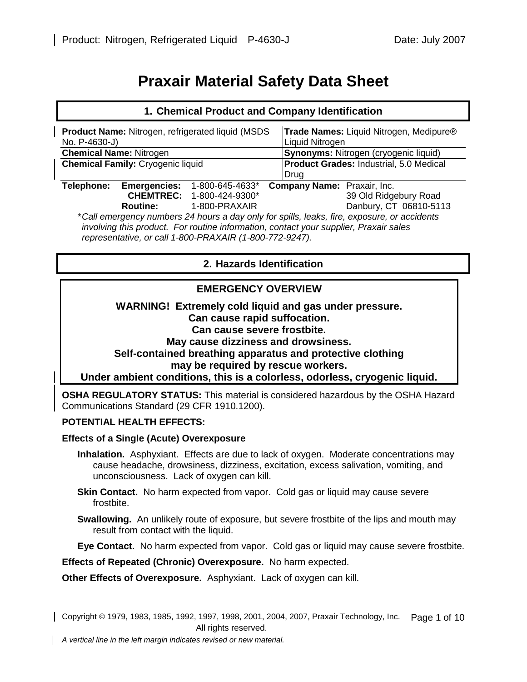# **Praxair Material Safety Data Sheet**

| 1. Chemical Product and Company Identification                                                                                                                                       |                     |                                  |                                                |                                                            |  |
|--------------------------------------------------------------------------------------------------------------------------------------------------------------------------------------|---------------------|----------------------------------|------------------------------------------------|------------------------------------------------------------|--|
| <b>Product Name: Nitrogen, refrigerated liquid (MSDS)</b><br>No. P-4630-J)                                                                                                           |                     |                                  |                                                | Trade Names: Liquid Nitrogen, Medipure®<br>Liquid Nitrogen |  |
| <b>Chemical Name: Nitrogen</b>                                                                                                                                                       |                     |                                  |                                                | <b>Synonyms: Nitrogen (cryogenic liquid)</b>               |  |
| <b>Chemical Family: Cryogenic liquid</b>                                                                                                                                             |                     |                                  | <b>Product Grades: Industrial, 5.0 Medical</b> |                                                            |  |
|                                                                                                                                                                                      |                     |                                  | Drug                                           |                                                            |  |
| Telephone:                                                                                                                                                                           | <b>Emergencies:</b> | 1-800-645-4633*                  | <b>Company Name: Praxair, Inc.</b>             |                                                            |  |
|                                                                                                                                                                                      |                     | <b>CHEMTREC: 1-800-424-9300*</b> |                                                | 39 Old Ridgebury Road                                      |  |
|                                                                                                                                                                                      | <b>Routine:</b>     | 1-800-PRAXAIR                    |                                                | Danbury, CT 06810-5113                                     |  |
| *Call emergency numbers 24 hours a day only for spills, leaks, fire, exposure, or accidents<br>involving this product. For routing information, contact vour sympliar. Prayair sales |                     |                                  |                                                |                                                            |  |

*involving this product. For routine information, contact your supplier, Praxair sales representative, or call 1-800-PRAXAIR (1-800-772-9247).* 

# **2. Hazards Identification**

# **EMERGENCY OVERVIEW**

**WARNING! Extremely cold liquid and gas under pressure. Can cause rapid suffocation. Can cause severe frostbite. May cause dizziness and drowsiness. Self-contained breathing apparatus and protective clothing may be required by rescue workers. Under ambient conditions, this is a colorless, odorless, cryogenic liquid.** 

**OSHA REGULATORY STATUS:** This material is considered hazardous by the OSHA Hazard Communications Standard (29 CFR 1910.1200).

## **POTENTIAL HEALTH EFFECTS:**

#### **Effects of a Single (Acute) Overexposure**

- **Inhalation.** Asphyxiant. Effects are due to lack of oxygen. Moderate concentrations may cause headache, drowsiness, dizziness, excitation, excess salivation, vomiting, and unconsciousness. Lack of oxygen can kill.
- **Skin Contact.** No harm expected from vapor. Cold gas or liquid may cause severe frostbite.
- **Swallowing.** An unlikely route of exposure, but severe frostbite of the lips and mouth may result from contact with the liquid.

**Eye Contact.** No harm expected from vapor. Cold gas or liquid may cause severe frostbite.

**Effects of Repeated (Chronic) Overexposure.** No harm expected.

**Other Effects of Overexposure.** Asphyxiant. Lack of oxygen can kill.

Copyright © 1979, 1983, 1985, 1992, 1997, 1998, 2001, 2004, 2007, Praxair Technology, Inc. Page 1 of 10 All rights reserved.

*A vertical line in the left margin indicates revised or new material.*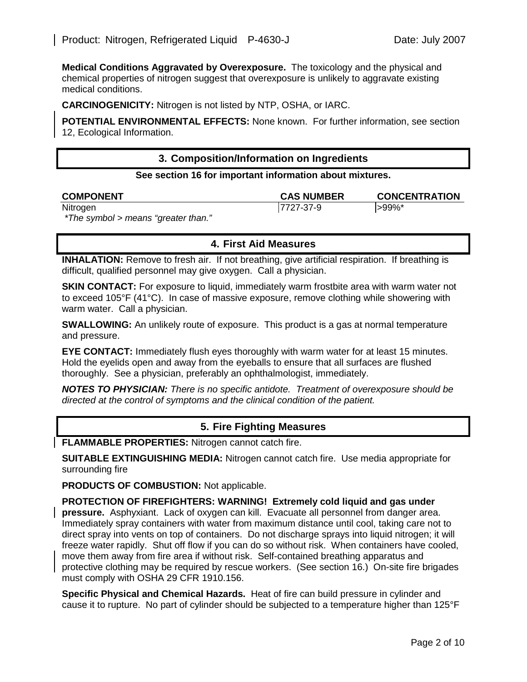**Medical Conditions Aggravated by Overexposure.** The toxicology and the physical and chemical properties of nitrogen suggest that overexposure is unlikely to aggravate existing medical conditions.

**CARCINOGENICITY:** Nitrogen is not listed by NTP, OSHA, or IARC.

**POTENTIAL ENVIRONMENTAL EFFECTS:** None known. For further information, see section 12, Ecological Information.

## **3. Composition/Information on Ingredients**

#### **See section 16 for important information about mixtures.**

| <b>COMPONENT</b>                           | <b>CAS NUMBER</b> | <b>CONCENTRATION</b> |
|--------------------------------------------|-------------------|----------------------|
| Nitrogen                                   | 17727-37-9        | $ >99\%$ *           |
| $*$ Tho symbol $\sim$ moons "qrootor than" |                   |                      |

*i* he symbol > means "greater than."

# **4. First Aid Measures**

**INHALATION:** Remove to fresh air. If not breathing, give artificial respiration. If breathing is difficult, qualified personnel may give oxygen. Call a physician.

**SKIN CONTACT:** For exposure to liquid, immediately warm frostbite area with warm water not to exceed 105°F (41°C). In case of massive exposure, remove clothing while showering with warm water. Call a physician.

**SWALLOWING:** An unlikely route of exposure. This product is a gas at normal temperature and pressure.

**EYE CONTACT:** Immediately flush eyes thoroughly with warm water for at least 15 minutes. Hold the eyelids open and away from the eyeballs to ensure that all surfaces are flushed thoroughly. See a physician, preferably an ophthalmologist, immediately.

*NOTES TO PHYSICIAN: There is no specific antidote. Treatment of overexposure should be directed at the control of symptoms and the clinical condition of the patient.* 

## **5. Fire Fighting Measures**

**FLAMMABLE PROPERTIES:** Nitrogen cannot catch fire.

**SUITABLE EXTINGUISHING MEDIA:** Nitrogen cannot catch fire. Use media appropriate for surrounding fire

**PRODUCTS OF COMBUSTION:** Not applicable.

**PROTECTION OF FIREFIGHTERS: WARNING! Extremely cold liquid and gas under pressure.** Asphyxiant. Lack of oxygen can kill. Evacuate all personnel from danger area. Immediately spray containers with water from maximum distance until cool, taking care not to direct spray into vents on top of containers. Do not discharge sprays into liquid nitrogen; it will freeze water rapidly. Shut off flow if you can do so without risk. When containers have cooled, move them away from fire area if without risk. Self-contained breathing apparatus and protective clothing may be required by rescue workers. (See section 16.) On-site fire brigades must comply with OSHA 29 CFR 1910.156.

**Specific Physical and Chemical Hazards.** Heat of fire can build pressure in cylinder and cause it to rupture. No part of cylinder should be subjected to a temperature higher than 125°F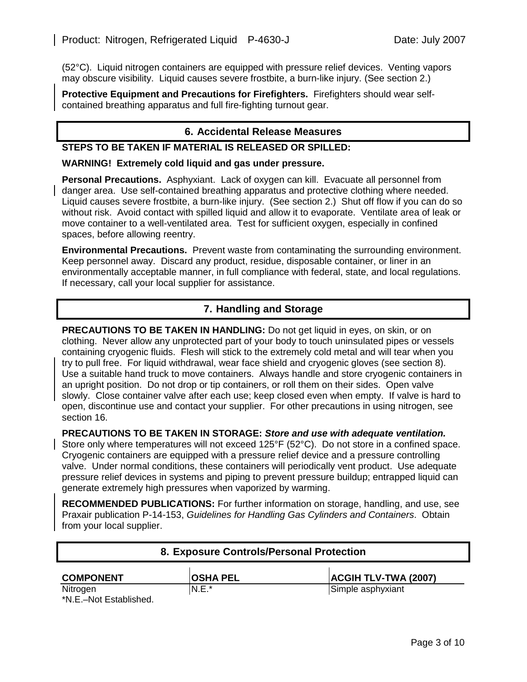(52°C). Liquid nitrogen containers are equipped with pressure relief devices. Venting vapors may obscure visibility. Liquid causes severe frostbite, a burn-like injury. (See section 2.)

**Protective Equipment and Precautions for Firefighters.** Firefighters should wear selfcontained breathing apparatus and full fire-fighting turnout gear.

## **6. Accidental Release Measures**

## **STEPS TO BE TAKEN IF MATERIAL IS RELEASED OR SPILLED:**

#### **WARNING! Extremely cold liquid and gas under pressure.**

**Personal Precautions.** Asphyxiant. Lack of oxygen can kill. Evacuate all personnel from danger area. Use self-contained breathing apparatus and protective clothing where needed. Liquid causes severe frostbite, a burn-like injury. (See section 2.) Shut off flow if you can do so without risk. Avoid contact with spilled liquid and allow it to evaporate. Ventilate area of leak or move container to a well-ventilated area. Test for sufficient oxygen, especially in confined spaces, before allowing reentry.

**Environmental Precautions.** Prevent waste from contaminating the surrounding environment. Keep personnel away. Discard any product, residue, disposable container, or liner in an environmentally acceptable manner, in full compliance with federal, state, and local regulations. If necessary, call your local supplier for assistance.

## **7. Handling and Storage**

**PRECAUTIONS TO BE TAKEN IN HANDLING:** Do not get liquid in eyes, on skin, or on clothing. Never allow any unprotected part of your body to touch uninsulated pipes or vessels containing cryogenic fluids. Flesh will stick to the extremely cold metal and will tear when you try to pull free. For liquid withdrawal, wear face shield and cryogenic gloves (see section 8). Use a suitable hand truck to move containers. Always handle and store cryogenic containers in an upright position. Do not drop or tip containers, or roll them on their sides. Open valve slowly. Close container valve after each use; keep closed even when empty. If valve is hard to open, discontinue use and contact your supplier. For other precautions in using nitrogen, see section 16.

#### **PRECAUTIONS TO BE TAKEN IN STORAGE:** *Store and use with adequate ventilation.*

Store only where temperatures will not exceed 125°F (52°C). Do not store in a confined space. Cryogenic containers are equipped with a pressure relief device and a pressure controlling valve. Under normal conditions, these containers will periodically vent product. Use adequate pressure relief devices in systems and piping to prevent pressure buildup; entrapped liquid can generate extremely high pressures when vaporized by warming.

**RECOMMENDED PUBLICATIONS:** For further information on storage, handling, and use, see Praxair publication P-14-153, *Guidelines for Handling Gas Cylinders and Containers*. Obtain from your local supplier.

| 8. Exposure Controls/Personal Protection |                 |                             |  |  |
|------------------------------------------|-----------------|-----------------------------|--|--|
| <b>COMPONENT</b>                         | <b>OSHA PEL</b> | <b>ACGIH TLV-TWA (2007)</b> |  |  |
| Nitrogen<br>*N.E.-Not Established.       | $N.E.*$         | Simple asphyxiant           |  |  |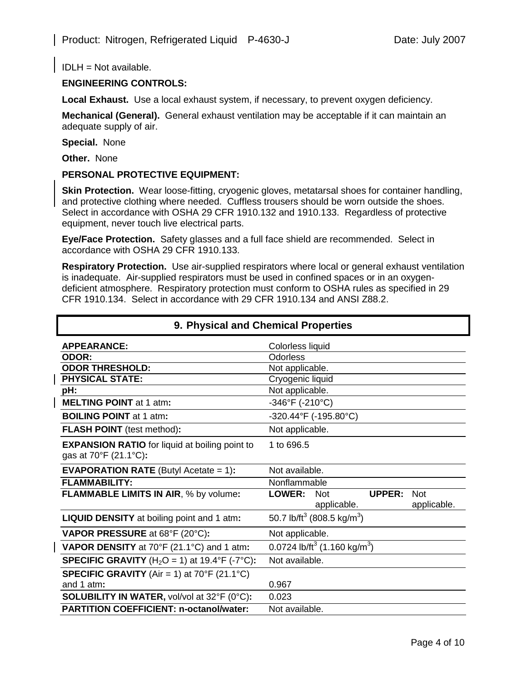IDLH = Not available.

## **ENGINEERING CONTROLS:**

Local Exhaust. Use a local exhaust system, if necessary, to prevent oxygen deficiency.

**Mechanical (General).** General exhaust ventilation may be acceptable if it can maintain an adequate supply of air.

**Special.** None

**Other.** None

#### **PERSONAL PROTECTIVE EQUIPMENT:**

**Skin Protection.** Wear loose-fitting, cryogenic gloves, metatarsal shoes for container handling, and protective clothing where needed. Cuffless trousers should be worn outside the shoes. Select in accordance with OSHA 29 CFR 1910.132 and 1910.133. Regardless of protective equipment, never touch live electrical parts.

**Eye/Face Protection.** Safety glasses and a full face shield are recommended. Select in accordance with OSHA 29 CFR 1910.133.

**Respiratory Protection.** Use air-supplied respirators where local or general exhaust ventilation is inadequate. Air-supplied respirators must be used in confined spaces or in an oxygendeficient atmosphere. Respiratory protection must conform to OSHA rules as specified in 29 CFR 1910.134. Select in accordance with 29 CFR 1910.134 and ANSI Z88.2.

| 9. Physical and Chemical Properties                                            |                                                                                   |  |  |  |  |
|--------------------------------------------------------------------------------|-----------------------------------------------------------------------------------|--|--|--|--|
| <b>APPEARANCE:</b>                                                             | Colorless liquid                                                                  |  |  |  |  |
| ODOR:                                                                          | Odorless                                                                          |  |  |  |  |
| <b>ODOR THRESHOLD:</b>                                                         | Not applicable.                                                                   |  |  |  |  |
| <b>PHYSICAL STATE:</b>                                                         | Cryogenic liquid                                                                  |  |  |  |  |
| pH:                                                                            | Not applicable.                                                                   |  |  |  |  |
| <b>MELTING POINT at 1 atm:</b>                                                 | $-346^{\circ}F( -210^{\circ}C)$                                                   |  |  |  |  |
| <b>BOILING POINT at 1 atm:</b>                                                 | -320.44°F (-195.80°C)                                                             |  |  |  |  |
| <b>FLASH POINT</b> (test method):                                              | Not applicable.                                                                   |  |  |  |  |
| <b>EXPANSION RATIO</b> for liquid at boiling point to<br>gas at 70°F (21.1°C): | 1 to 696.5                                                                        |  |  |  |  |
| <b>EVAPORATION RATE</b> (Butyl Acetate $= 1$ ):                                | Not available.                                                                    |  |  |  |  |
| <b>FLAMMABILITY:</b>                                                           | Nonflammable                                                                      |  |  |  |  |
| FLAMMABLE LIMITS IN AIR, % by volume:                                          | <b>LOWER:</b><br>UPPER:<br><b>Not</b><br><b>Not</b><br>applicable.<br>applicable. |  |  |  |  |
| <b>LIQUID DENSITY</b> at boiling point and 1 atm:                              | 50.7 lb/ft <sup>3</sup> (808.5 kg/m <sup>3</sup> )                                |  |  |  |  |
| <b>VAPOR PRESSURE</b> at 68°F (20°C):                                          | Not applicable.                                                                   |  |  |  |  |
| VAPOR DENSITY at 70°F (21.1°C) and 1 atm:                                      | 0.0724 lb/ft <sup>3</sup> (1.160 kg/m <sup>3</sup> )                              |  |  |  |  |
| <b>SPECIFIC GRAVITY</b> (H <sub>2</sub> O = 1) at 19.4°F (-7°C):               | Not available.                                                                    |  |  |  |  |
| <b>SPECIFIC GRAVITY</b> (Air = 1) at $70^{\circ}$ F (21.1 $^{\circ}$ C)        |                                                                                   |  |  |  |  |
| and 1 atm:                                                                     | 0.967                                                                             |  |  |  |  |
| <b>SOLUBILITY IN WATER, vol/vol at 32°F (0°C):</b>                             | 0.023                                                                             |  |  |  |  |
| <b>PARTITION COEFFICIENT: n-octanol/water:</b>                                 | Not available.                                                                    |  |  |  |  |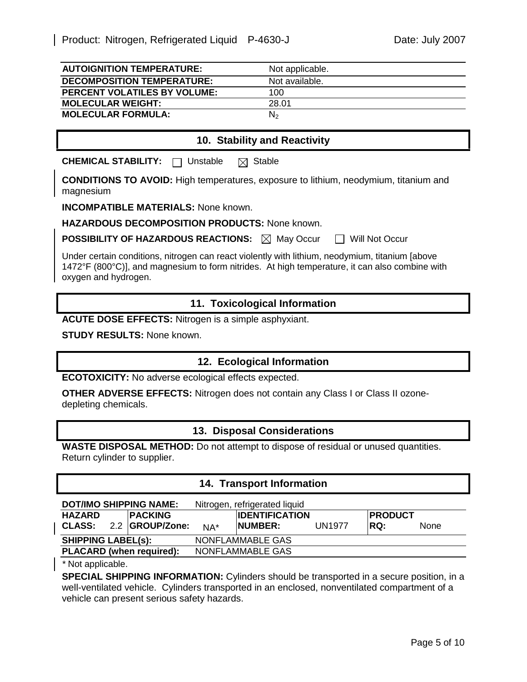| <b>AUTOIGNITION TEMPERATURE:</b>    | Not applicable. |
|-------------------------------------|-----------------|
| <b>DECOMPOSITION TEMPERATURE:</b>   | Not available.  |
| <b>PERCENT VOLATILES BY VOLUME:</b> | 100             |
| <b>MOLECULAR WEIGHT:</b>            | 28.01           |
| <b>MOLECULAR FORMULA:</b>           | N <sub>2</sub>  |

# **10. Stability and Reactivity**

**CHEMICAL STABILITY:** □ Unstable ⊠ Stable

**CONDITIONS TO AVOID:** High temperatures, exposure to lithium, neodymium, titanium and magnesium

**INCOMPATIBLE MATERIALS:** None known.

**HAZARDOUS DECOMPOSITION PRODUCTS:** None known.

**POSSIBILITY OF HAZARDOUS REACTIONS:**  $\boxtimes$  May Occur  $\Box$  Will Not Occur

Under certain conditions, nitrogen can react violently with lithium, neodymium, titanium [above 1472°F (800°C)], and magnesium to form nitrides. At high temperature, it can also combine with oxygen and hydrogen.

#### **11. Toxicological Information**

**ACUTE DOSE EFFECTS:** Nitrogen is a simple asphyxiant.

**STUDY RESULTS:** None known.

## **12. Ecological Information**

**ECOTOXICITY:** No adverse ecological effects expected.

**OTHER ADVERSE EFFECTS:** Nitrogen does not contain any Class I or Class II ozonedepleting chemicals.

#### **13. Disposal Considerations**

**WASTE DISPOSAL METHOD:** Do not attempt to dispose of residual or unused quantities. Return cylinder to supplier.

## **14. Transport Information**

|                           |  | <b>DOT/IMO SHIPPING NAME:</b>   |                  | Nitrogen, refrigerated liquid |               |                 |      |
|---------------------------|--|---------------------------------|------------------|-------------------------------|---------------|-----------------|------|
| <b>HAZARD</b>             |  | <b>IPACKING</b>                 |                  | <b>IDENTIFICATION</b>         |               | <b>IPRODUCT</b> |      |
| <b>CLASS:</b>             |  | 2.2 GROUP/Zone:                 | $NA^*$           | <b>INUMBER:</b>               | <b>UN1977</b> | IRQ:            | None |
| <b>SHIPPING LABEL(s):</b> |  |                                 | NONFLAMMABLE GAS |                               |               |                 |      |
|                           |  | <b>PLACARD</b> (when required): |                  | NONFLAMMABLE GAS              |               |                 |      |

*\** Not applicable.

**SPECIAL SHIPPING INFORMATION:** Cylinders should be transported in a secure position, in a well-ventilated vehicle. Cylinders transported in an enclosed, nonventilated compartment of a vehicle can present serious safety hazards.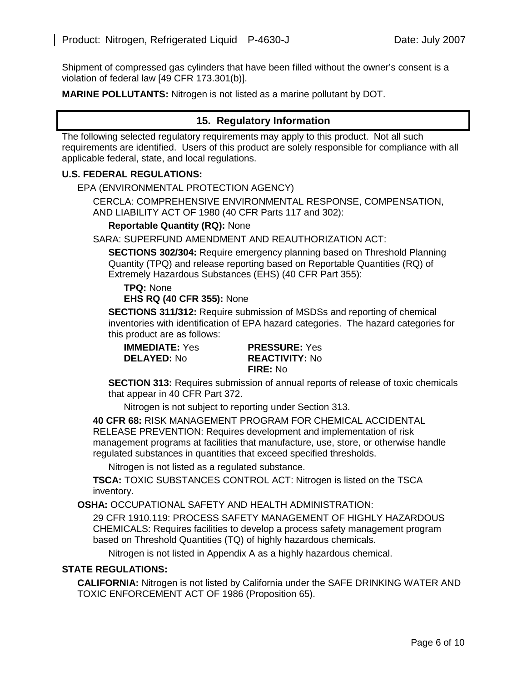Shipment of compressed gas cylinders that have been filled without the owner's consent is a violation of federal law [49 CFR 173.301(b)].

**MARINE POLLUTANTS:** Nitrogen is not listed as a marine pollutant by DOT.

# **15. Regulatory Information**

The following selected regulatory requirements may apply to this product. Not all such requirements are identified. Users of this product are solely responsible for compliance with all applicable federal, state, and local regulations.

#### **U.S. FEDERAL REGULATIONS:**

EPA (ENVIRONMENTAL PROTECTION AGENCY)

CERCLA: COMPREHENSIVE ENVIRONMENTAL RESPONSE, COMPENSATION, AND LIABILITY ACT OF 1980 (40 CFR Parts 117 and 302):

#### **Reportable Quantity (RQ):** None

SARA: SUPERFUND AMENDMENT AND REAUTHORIZATION ACT:

**SECTIONS 302/304:** Require emergency planning based on Threshold Planning Quantity (TPQ) and release reporting based on Reportable Quantities (RQ) of Extremely Hazardous Substances (EHS) (40 CFR Part 355):

**TPQ:** None **EHS RQ (40 CFR 355):** None

**SECTIONS 311/312:** Require submission of MSDSs and reporting of chemical inventories with identification of EPA hazard categories. The hazard categories for this product are as follows:

**IMMEDIATE:** Yes **PRESSURE:** Yes **DELAYED:** No **REACTIVITY:** No **FIRE:** No

**SECTION 313:** Requires submission of annual reports of release of toxic chemicals that appear in 40 CFR Part 372.

Nitrogen is not subject to reporting under Section 313.

**40 CFR 68:** RISK MANAGEMENT PROGRAM FOR CHEMICAL ACCIDENTAL RELEASE PREVENTION: Requires development and implementation of risk management programs at facilities that manufacture, use, store, or otherwise handle regulated substances in quantities that exceed specified thresholds.

Nitrogen is not listed as a regulated substance.

**TSCA:** TOXIC SUBSTANCES CONTROL ACT: Nitrogen is listed on the TSCA inventory.

**OSHA:** OCCUPATIONAL SAFETY AND HEALTH ADMINISTRATION:

29 CFR 1910.119: PROCESS SAFETY MANAGEMENT OF HIGHLY HAZARDOUS CHEMICALS: Requires facilities to develop a process safety management program based on Threshold Quantities (TQ) of highly hazardous chemicals.

Nitrogen is not listed in Appendix A as a highly hazardous chemical.

## **STATE REGULATIONS:**

**CALIFORNIA:** Nitrogen is not listed by California under the SAFE DRINKING WATER AND TOXIC ENFORCEMENT ACT OF 1986 (Proposition 65).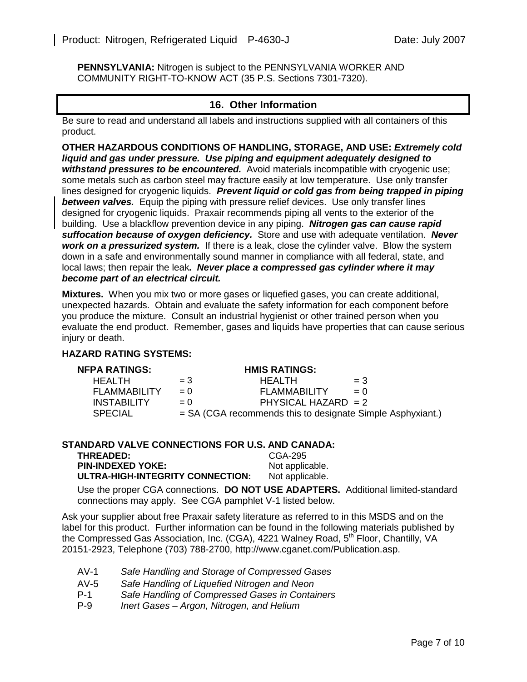**PENNSYLVANIA:** Nitrogen is subject to the PENNSYLVANIA WORKER AND COMMUNITY RIGHT-TO-KNOW ACT (35 P.S. Sections 7301-7320).

# **16. Other Information**

Be sure to read and understand all labels and instructions supplied with all containers of this product.

**OTHER HAZARDOUS CONDITIONS OF HANDLING, STORAGE, AND USE:** *Extremely cold liquid and gas under pressure.**Use piping and equipment adequately designed to withstand pressures to be encountered.* Avoid materials incompatible with cryogenic use; some metals such as carbon steel may fracture easily at low temperature.Use only transfer lines designed for cryogenic liquids. *Prevent liquid or cold gas from being trapped in piping*  **between valves.** Equip the piping with pressure relief devices. Use only transfer lines designed for cryogenic liquids. Praxair recommends piping all vents to the exterior of the building.Use a blackflow prevention device in any piping. *Nitrogen gas can cause rapid suffocation because of oxygen deficiency.* Store and use with adequate ventilation. *Never work on a pressurized system.* If there is a leak, close the cylinder valve. Blow the system down in a safe and environmentally sound manner in compliance with all federal, state, and local laws; then repair the leak*. Never place a compressed gas cylinder where it may become part of an electrical circuit.*

**Mixtures.** When you mix two or more gases or liquefied gases, you can create additional, unexpected hazards. Obtain and evaluate the safety information for each component before you produce the mixture. Consult an industrial hygienist or other trained person when you evaluate the end product. Remember, gases and liquids have properties that can cause serious injury or death.

#### **HAZARD RATING SYSTEMS:**

| NFPA RATINGS:       |           | <b>HMIS RATINGS:</b>                                         |       |
|---------------------|-----------|--------------------------------------------------------------|-------|
| HFAI TH             | $= 3^{-}$ | <b>HFAITH</b>                                                | $=$ 3 |
| <b>FLAMMABILITY</b> | $= 0$     | <b>FLAMMABILITY</b>                                          | $= 0$ |
| <b>INSTABILITY</b>  | $= 0$     | PHYSICAL HAZARD $= 2$                                        |       |
| <b>SPECIAL</b>      |           | $=$ SA (CGA recommends this to designate Simple Asphyxiant.) |       |

| <b>STANDARD VALVE CONNECTIONS FOR U.S. AND CANADA:</b> |                 |  |  |  |
|--------------------------------------------------------|-----------------|--|--|--|
| <b>THREADED:</b>                                       | CGA-295         |  |  |  |
| <b>PIN-INDEXED YOKE:</b>                               | Not applicable. |  |  |  |
| ULTRA-HIGH-INTEGRITY CONNECTION:                       | Not applicable. |  |  |  |
|                                                        |                 |  |  |  |

Use the proper CGA connections. **DO NOT USE ADAPTERS.** Additional limited-standard connections may apply. See CGA pamphlet V-1 listed below.

Ask your supplier about free Praxair safety literature as referred to in this MSDS and on the label for this product. Further information can be found in the following materials published by the Compressed Gas Association, Inc. (CGA), 4221 Walney Road, 5<sup>th</sup> Floor, Chantilly, VA 20151-2923, Telephone (703) 788-2700, http://www.cganet.com/Publication.asp.

- AV-1 *Safe Handling and Storage of Compressed Gases*
- AV-5 *Safe Handling of Liquefied Nitrogen and Neon*
- **Safe Handling of Compressed Gases in Containers**
- P-9 *Inert Gases Argon, Nitrogen, and Helium*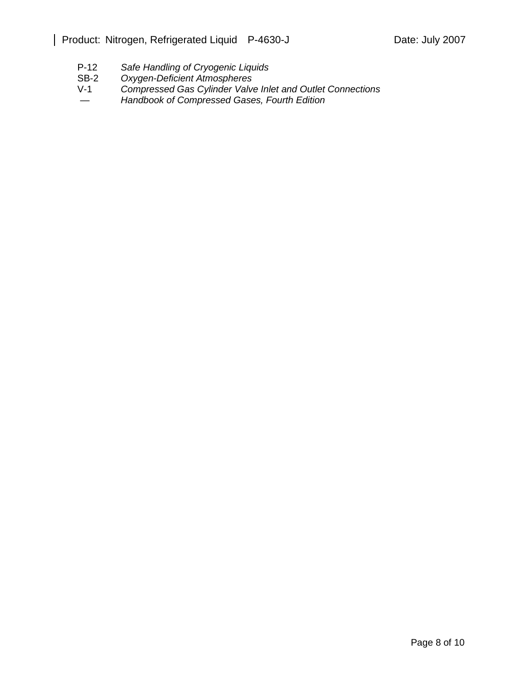- P-12 *Safe Handling of Cryogenic Liquids*
- Oxygen-Deficient Atmospheres
- V-1 *Compressed Gas Cylinder Valve Inlet and Outlet Connections*
- *Handbook of Compressed Gases, Fourth Edition*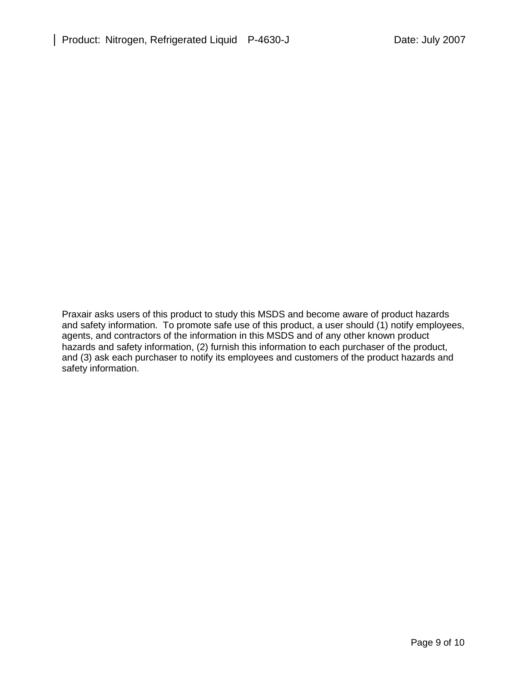Praxair asks users of this product to study this MSDS and become aware of product hazards and safety information. To promote safe use of this product, a user should (1) notify employees, agents, and contractors of the information in this MSDS and of any other known product hazards and safety information, (2) furnish this information to each purchaser of the product, and (3) ask each purchaser to notify its employees and customers of the product hazards and safety information.